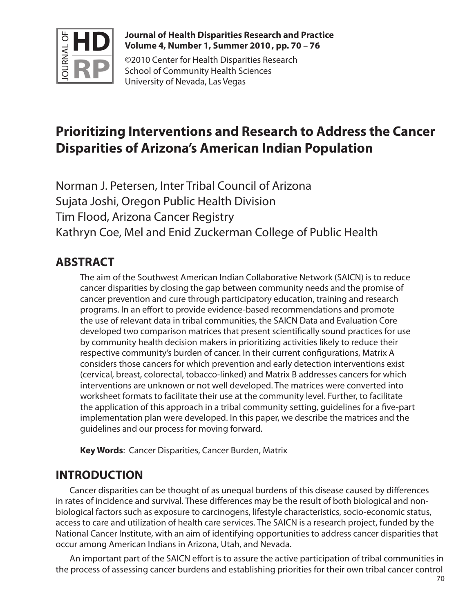

#### **Journal of Health Disparities Research and Practice Volume 4, Number 1, Summer 2010 , pp. 70 – 76**

©2010 Center for Health Disparities Research School of Community Health Sciences University of Nevada, Las Vegas

# **Prioritizing Interventions and Research to Address the Cancer Disparities of Arizona's American Indian Population**

Norman J. Petersen, Inter Tribal Council of Arizona Sujata Joshi, Oregon Public Health Division Tim Flood, Arizona Cancer Registry Kathryn Coe, Mel and Enid Zuckerman College of Public Health

# **ABSTRACT**

The aim of the Southwest American Indian Collaborative Network (SAICN) is to reduce cancer disparities by closing the gap between community needs and the promise of cancer prevention and cure through participatory education, training and research programs. In an effort to provide evidence-based recommendations and promote the use of relevant data in tribal communities, the SAICN Data and Evaluation Core developed two comparison matrices that present scientifically sound practices for use by community health decision makers in prioritizing activities likely to reduce their respective community's burden of cancer. In their current configurations, Matrix A considers those cancers for which prevention and early detection interventions exist (cervical, breast, colorectal, tobacco-linked) and Matrix B addresses cancers for which interventions are unknown or not well developed. The matrices were converted into worksheet formats to facilitate their use at the community level. Further, to facilitate the application of this approach in a tribal community setting, guidelines for a five-part implementation plan were developed. In this paper, we describe the matrices and the guidelines and our process for moving forward.

**Key Words**: Cancer Disparities, Cancer Burden, Matrix

# **INTRODUCTION**

Cancer disparities can be thought of as unequal burdens of this disease caused by differences in rates of incidence and survival. These differences may be the result of both biological and nonbiological factors such as exposure to carcinogens, lifestyle characteristics, socio-economic status, access to care and utilization of health care services. The SAICN is a research project, funded by the National Cancer Institute, with an aim of identifying opportunities to address cancer disparities that occur among American Indians in Arizona, Utah, and Nevada.

An important part of the SAICN effort is to assure the active participation of tribal communities in the process of assessing cancer burdens and establishing priorities for their own tribal cancer control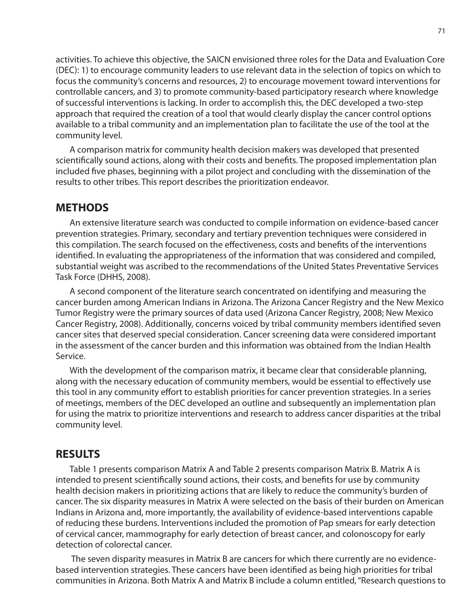activities. To achieve this objective, the SAICN envisioned three roles for the Data and Evaluation Core (DEC): 1) to encourage community leaders to use relevant data in the selection of topics on which to focus the community's concerns and resources, 2) to encourage movement toward interventions for controllable cancers, and 3) to promote community-based participatory research where knowledge of successful interventions is lacking. In order to accomplish this, the DEC developed a two-step approach that required the creation of a tool that would clearly display the cancer control options available to a tribal community and an implementation plan to facilitate the use of the tool at the community level.

A comparison matrix for community health decision makers was developed that presented scientifically sound actions, along with their costs and benefits. The proposed implementation plan included five phases, beginning with a pilot project and concluding with the dissemination of the results to other tribes. This report describes the prioritization endeavor.

## **METHODS**

An extensive literature search was conducted to compile information on evidence-based cancer prevention strategies. Primary, secondary and tertiary prevention techniques were considered in this compilation. The search focused on the effectiveness, costs and benefits of the interventions identified. In evaluating the appropriateness of the information that was considered and compiled, substantial weight was ascribed to the recommendations of the United States Preventative Services Task Force (DHHS, 2008).

A second component of the literature search concentrated on identifying and measuring the cancer burden among American Indians in Arizona. The Arizona Cancer Registry and the New Mexico Tumor Registry were the primary sources of data used (Arizona Cancer Registry, 2008; New Mexico Cancer Registry, 2008). Additionally, concerns voiced by tribal community members identified seven cancer sites that deserved special consideration. Cancer screening data were considered important in the assessment of the cancer burden and this information was obtained from the Indian Health Service.

With the development of the comparison matrix, it became clear that considerable planning, along with the necessary education of community members, would be essential to effectively use this tool in any community effort to establish priorities for cancer prevention strategies. In a series of meetings, members of the DEC developed an outline and subsequently an implementation plan for using the matrix to prioritize interventions and research to address cancer disparities at the tribal community level.

#### **RESULTS**

Table 1 presents comparison Matrix A and Table 2 presents comparison Matrix B. Matrix A is intended to present scientifically sound actions, their costs, and benefits for use by community health decision makers in prioritizing actions that are likely to reduce the community's burden of cancer. The six disparity measures in Matrix A were selected on the basis of their burden on American Indians in Arizona and, more importantly, the availability of evidence-based interventions capable of reducing these burdens. Interventions included the promotion of Pap smears for early detection of cervical cancer, mammography for early detection of breast cancer, and colonoscopy for early detection of colorectal cancer.

 The seven disparity measures in Matrix B are cancers for which there currently are no evidencebased intervention strategies. These cancers have been identified as being high priorities for tribal communities in Arizona. Both Matrix A and Matrix B include a column entitled, "Research questions to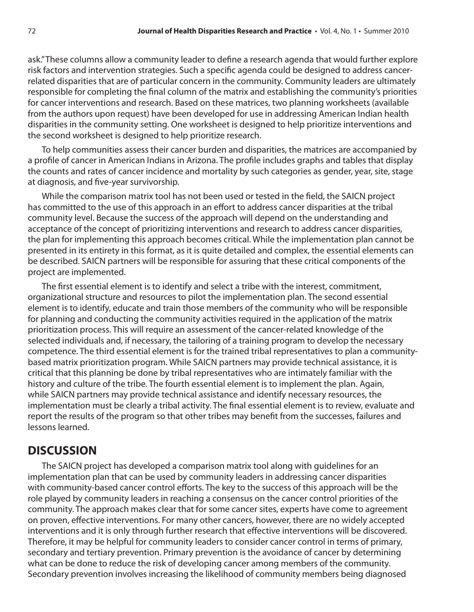ask." These columns allow a community leader to define a research agenda that would further explore risk factors and intervention strategies. Such a specific agenda could be designed to address cancerrelated disparities that are of particular concern in the community. Community leaders are ultimately responsible for completing the final column of the matrix and establishing the community's priorities for cancer interventions and research. Based on these matrices, two planning worksheets (available from the authors upon request) have been developed for use in addressing American Indian health disparities in the community setting. One worksheet is designed to help prioritize interventions and the second worksheet is designed to help prioritize research.

To help communities assess their cancer burden and disparities, the matrices are accompanied by a profile of cancer in American Indians in Arizona. The profile includes graphs and tables that display the counts and rates of cancer incidence and mortality by such categories as gender, year, site, stage at diagnosis, and five-year survivorship.

While the comparison matrix tool has not been used or tested in the field, the SAICN project has committed to the use of this approach in an effort to address cancer disparities at the tribal community level. Because the success of the approach will depend on the understanding and acceptance of the concept of prioritizing interventions and research to address cancer disparities, the plan for implementing this approach becomes critical. While the implementation plan cannot be presented in its entirety in this format, as it is quite detailed and complex, the essential elements can be described. SAICN partners will be responsible for assuring that these critical components of the project are implemented.

The first essential element is to identify and select a tribe with the interest, commitment, organizational structure and resources to pilot the implementation plan. The second essential element is to identify, educate and train those members of the community who will be responsible for planning and conducting the community activities required in the application of the matrix prioritization process. This will require an assessment of the cancer-related knowledge of the selected individuals and, if necessary, the tailoring of a training program to develop the necessary competence. The third essential element is for the trained tribal representatives to plan a communitybased matrix prioritization program. While SAICN partners may provide technical assistance, it is critical that this planning be done by tribal representatives who are intimately familiar with the history and culture of the tribe. The fourth essential element is to implement the plan. Again, while SAICN partners may provide technical assistance and identify necessary resources, the implementation must be clearly a tribal activity. The final essential element is to review, evaluate and report the results of the program so that other tribes may benefit from the successes, failures and lessons learned.

# **DISCUSSION**

The SAICN project has developed a comparison matrix tool along with guidelines for an implementation plan that can be used by community leaders in addressing cancer disparities with community-based cancer control efforts. The key to the success of this approach will be the role played by community leaders in reaching a consensus on the cancer control priorities of the community. The approach makes clear that for some cancer sites, experts have come to agreement on proven, effective interventions. For many other cancers, however, there are no widely accepted interventions and it is only through further research that effective interventions will be discovered. Therefore, it may be helpful for community leaders to consider cancer control in terms of primary, secondary and tertiary prevention. Primary prevention is the avoidance of cancer by determining what can be done to reduce the risk of developing cancer among members of the community. Secondary prevention involves increasing the likelihood of community members being diagnosed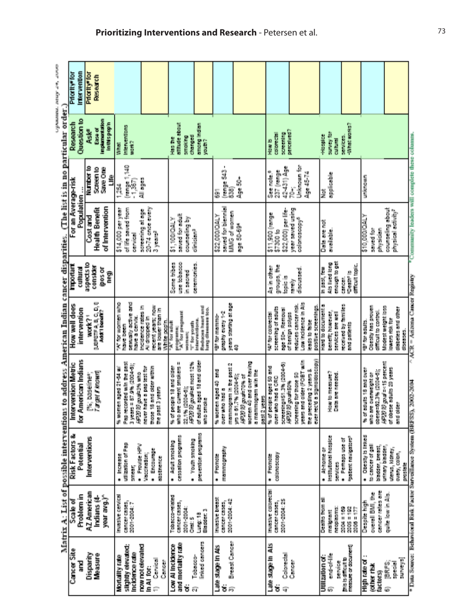|                                                                                      | Intervention<br><b>Priority<sup>s</sup>for</b> | Priority <sup>e</sup> for | <b>RESERVED</b>                                  |                                                                                                                     |                                                                                                 |                                                                                                     |                                                           |                                                                                         |                                                                                                                                   |                                                                                   |                                                                                                                                         |                                                             |                                                 |                                                                                                                                        |                                                                             |                                                                    |
|--------------------------------------------------------------------------------------|------------------------------------------------|---------------------------|--------------------------------------------------|---------------------------------------------------------------------------------------------------------------------|-------------------------------------------------------------------------------------------------|-----------------------------------------------------------------------------------------------------|-----------------------------------------------------------|-----------------------------------------------------------------------------------------|-----------------------------------------------------------------------------------------------------------------------------------|-----------------------------------------------------------------------------------|-----------------------------------------------------------------------------------------------------------------------------------------|-------------------------------------------------------------|-------------------------------------------------|----------------------------------------------------------------------------------------------------------------------------------------|-----------------------------------------------------------------------------|--------------------------------------------------------------------|
|                                                                                      | Question to<br>Research                        | Ask <sup>e</sup>          | Implementation<br>Inthispapin<br><b>Carse of</b> | <b>Interventions</b><br><b>Steam</b><br>N 10                                                                        |                                                                                                 | officials about<br><b>Topped</b><br>smaking<br>Mas the                                              | among Indian<br>youth?                                    |                                                                                         |                                                                                                                                   | <b>Supervision</b><br><b>CONDITION</b><br>Hew b                                   | perceived?                                                                                                                              | summer that<br><b>Haspier</b><br><b>Rales</b>               | <b>SEPTIMATION</b><br><b>Back of Deck</b>       |                                                                                                                                        |                                                                             |                                                                    |
|                                                                                      |                                                | Number to                 | <b>Save City</b><br>e<br>Steer<br>g              | $\frac{[0.0198, 1, 140]}{[1367]}$<br>Ă                                                                              | All ages                                                                                        |                                                                                                     |                                                           | Store Store<br>g<br>5                                                                   | 高島                                                                                                                                | 42-431) Age<br>237 (range<br>See male. <sup>9</sup>                               | Unknown for<br>Page 45-74<br>ğ                                                                                                          | <b>Metallistic</b><br>ž                                     |                                                 | <b>Unicode</b>                                                                                                                         |                                                                             |                                                                    |
|                                                                                      | For an Average-risk<br>Population              | <b>Diast and</b>          | of Intervention<br><b>Health Benefit</b>         | of life saved from<br>\$14,000 per year<br><b>Detroited</b>                                                         | 20-74 ance every<br>speeming at age<br>3 years <sup>2</sup>                                     | saved for adult<br>Aq fuggeureo<br><b>1710000112</b>                                                | dinician <sup>3</sup>                                     | saved for biennial<br>NNG of women<br>\$22,000/QALY                                     | <b>bge 50-694</b>                                                                                                                 | \$22,000) per life-<br>\$11,900 (renge<br>$57300$ is                              | pricultower reasy<br>colorazoopy <sup>6</sup>                                                                                           | Data are not<br>gyalable.                                   |                                                 | A 190/000 01\$<br>saved for<br>physician                                                                                               | counseling shout<br>physical activity?                                      | *Community leaders will complete these columns.                    |
|                                                                                      | <b>Important</b><br><b>Cuttural</b>            | aspects to                | <b>Consider</b><br>pos or<br>eg<br>E             |                                                                                                                     |                                                                                                 | use tobacco<br>Some tribes<br>in sacra                                                              | <b>DEPENDANCE</b>                                         |                                                                                         |                                                                                                                                   | groups, the<br>As in other<br><b>Injuicia</b>                                     | discussed.<br>in milli                                                                                                                  | creaga to get<br>Alls lived long<br><b>MALENS</b>           | difficult topic.<br><b>Uranit Is</b><br>cancer. |                                                                                                                                        |                                                                             |                                                                    |
| to address American Indian cancer disparities. (The list is in no particular order.) | How well does<br>intervention                  | work? <sup>1</sup>        | LEPETFA, B, C, D, II,<br>Additionnelle           | With receive also<br>せんかいせい かんこうかい<br>have a cervice.<br>have been                                                  | Incidence rates in<br>recent years; now<br>are lower than in<br>Al displayed in<br>Write papin. | programac<br>"A" for pregnant<br>"A" for adult<br>TT for youth<br>women;                            | Reduces heart and<br>lung diseases too.<br>Interventions. | years starting at age<br>greatly exercity<br>女性に関われる                                    | ş                                                                                                                                 | screening of squits<br>age 50+. Removal<br>When the collected                     | Low Independent in Als<br>reduces cancer risk.<br>positive screenings.<br>of tenign polyes<br>lease to false                            | Hard to decuments<br>benefit, however,<br>senvices are well | received by tamilles<br>and policels            | Clearly last proven<br>difficult to control.<br><b>Ships and African</b>                                                               | andest archit loca<br>districts and other<br>lowers risk for<br>diseases.   | $\wedge$ ACR = Anizona Cancer Registry                             |
|                                                                                      | for American Indians<br>Intervention Metric    |                           | [%; baseliner;<br>Targer/knowd                   | <b>Page Meconded with the past</b><br>3 years = 87.9% (2004-6);<br>cm aged 21-64 will<br><b>GROUP CLOSER</b><br>医脑炎 | those 18 and older within<br>ment have a paper team.<br>the past 3 years                        | who are current smokers =<br>AR2010 goal-at most 12%<br>% or people 18 and older<br>22.1% (2004-0). | of adults aged 18 and older<br><b>Maria Series</b>        | 94<br>转换 化甲基 医皮质白色的<br>せんきゅう こうしゅう こうしゅう おく<br>over who had a                           | <b>DERECK DAYS DERIVED BY</b><br>a mammagean with the<br><b>第1章 1000 部門 100 日 1000</b><br><b>HOD D put-TOW of</b><br>pest 2 years | screening=Stl.3% (2004-0)<br>to of property appears on the<br>Deer with had a CRC | Ever recolumn algorithment<br>years and older (FOBT will<br>the preceding 2 years &<br>screening for those 50<br><b>HOOD Digest SDS</b> | How to measure?<br>Data are needed.                         |                                                 | <b>Second and a final contract of the Second and Second and Second</b><br><b>SIMPORT AND ARTISTS COMPANY</b><br>who are overwelphit or | <b>READ to an act 5 percent</b><br>of obese adults 20 years<br>small cluber | 1002-2002                                                          |
| Matrix A: List of possible interventions                                             | Risk Factors &<br>Potential                    | Interventions             |                                                  | utilization of Pap<br><b>Production</b><br>· Increase<br>Smear,                                                     | · Encourage<br><b>Vocalinations</b><br><b>SESSINGER</b>                                         | cessation proposes<br>· Youth smoking<br>· Adult smoking                                            | prevention programs                                       | mammapraphy<br><b>A Promote</b>                                                         |                                                                                                                                   | colorescopy<br>· Promote                                                          |                                                                                                                                         | institutional hospice<br>· At long or<br><b>SCINERS</b>     | patient navigatory<br><b>DISPLACEMENT</b>       | <b>The Decision</b><br>to cancer of gall<br>bladder, breast,                                                                           | uninary blacking<br>utenz, kidney,<br>owny, colon,<br>preside               |                                                                    |
|                                                                                      | Problem in<br>bales?                           | <b>AZ American</b>        | year angl<br>Indians (4-                         | Investive condicta<br>Competitions,<br>2001-2004:7                                                                  |                                                                                                 | TOBACCO-REISES<br>сансегсазев,<br>2001-2004<br>Sumps                                                | Bladder <sub>3</sub><br>Lung: 18                          | Investme breest<br>2001-2004-42<br>COMMERCIASES,                                        |                                                                                                                                   | Investor colorectel<br>2001-2004:25<br>CONDEPTED:05.                              |                                                                                                                                         | Deaths from all<br>neopleams:<br>malgrent                   | 2004年100<br>2005 = 102<br>$2008 = 177$          | cancer rates are<br>overall BMI, Bas<br>fall and the fall                                                                              | quite low in Als.                                                           |                                                                    |
|                                                                                      | Cancer Site<br>Ē                               | <b>Disparity</b>          | <b>Heasure</b>                                   | signity elevated:<br>Incidence rate<br>Mortality rate                                                               | now not elevated<br>Conical<br><b>Since</b><br>in All fort<br>É                                 | and mortality rate<br>Low All Inclemen<br>ŧ                                                         | linked cancers<br>Tobacco-<br>តា                          | <b>Dreast Cancer</b><br><b>Signal district district</b><br>Ś<br>$\widehat{\mathcal{H}}$ |                                                                                                                                   | Late stage in Als<br>Coloredal<br>ä<br>Ģ                                          | Cumper                                                                                                                                  | end-of-life<br>Utilization of:<br><b>SCINICK</b><br>G)      | measure or document)<br>projection to           | High rate of<br><b>Colleg risk</b><br><b>Dactors</b>                                                                                   | suneya)<br>is and the set<br>医鼻炎<br>Ġ                                       | * Data Source: Behavioral Risk Factor Surveillance System (BRFSS), |

chemical control terms.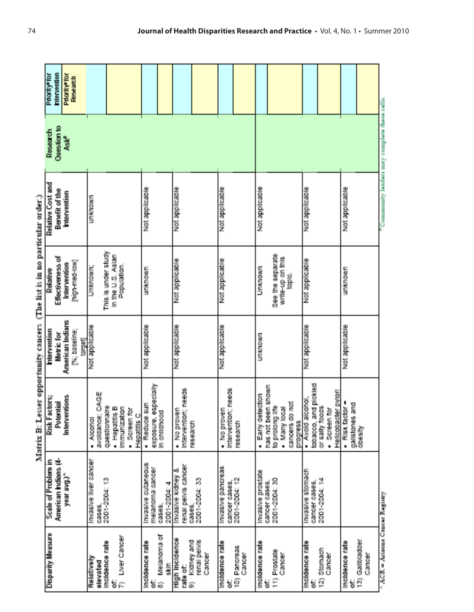|                                          | American Indians (4-                  | Potential                                                 | Metric for               | Effectiveness of    | Benefit of the                               | Question to      | menventon                 |
|------------------------------------------|---------------------------------------|-----------------------------------------------------------|--------------------------|---------------------|----------------------------------------------|------------------|---------------------------|
|                                          | year avg.)                            | Interventions                                             | American Indians         | Intervention        | Intervention                                 | Ask <sup>2</sup> | Priority <sup>e</sup> for |
|                                          |                                       |                                                           | [%; baseline;<br>targett | [high-med-low]      |                                              |                  | Research                  |
| Relatively                               | Invasive liver cancer                 | $\frac{1}{2}$                                             | Not applicable           | <b>Unknown:</b>     | <b>UNOVATI</b>                               |                  |                           |
| elevated                                 | 03605.                                | CAGE<br>avoidance:                                        |                          |                     |                                              |                  |                           |
| Incidence rate                           | 2001-2004: 13                         | 홛<br>questionnal                                          |                          | This is under study |                                              |                  |                           |
| ť                                        |                                       | · Hepaillis B                                             |                          | In the U.S. Asian   |                                              |                  |                           |
| Liver Cancer<br>Ē.                       |                                       | <b>Immunization</b><br>Screen for<br>$\ddot{\phantom{a}}$ |                          | Population.         |                                              |                  |                           |
|                                          |                                       | Hepatitis C                                               |                          |                     |                                              |                  |                           |
| Incluence rate<br>ť                      | Invasive cutameous<br>melanoma cancer | · Reduce sun                                              | Not applicable           | unknown             | Not applicable                               |                  |                           |
| Melanoma of<br>$\widehat{\varpi}$        | cases.                                | exposure, especially<br>in childhood                      |                          |                     |                                              |                  |                           |
| Skin                                     | 2001-2004: 4                          |                                                           |                          |                     |                                              |                  |                           |
| High Incidence                           | оØ<br>Invasive kidney                 | · No prove                                                | Not applicable           | elation applicable  | Not applicable                               |                  |                           |
| kildiney and<br>rate of:<br>ā.           | renal pelvis cancer<br>cases.         | Intervention; needs<br>ressearch                          |                          |                     |                                              |                  |                           |
| renal pelvis                             | 2001-2004: 33                         |                                                           |                          |                     |                                              |                  |                           |
| Cancer                                   |                                       |                                                           |                          |                     |                                              |                  |                           |
| Incidence rate                           | Invasive pancreas                     | No proven<br>á.                                           | Not applicable           | Not applicable      | Not applicable                               |                  |                           |
| ť                                        | cancer cases.                         | Intervention; needs                                       |                          |                     |                                              |                  |                           |
| 10) Pancreas<br>Cancer                   | 2001-2004: 12                         | research                                                  |                          |                     |                                              |                  |                           |
|                                          |                                       |                                                           |                          |                     |                                              |                  |                           |
| Incidence rate<br>ť                      | Invasive prostate<br>cancer cases,    | · Early detection                                         | <b>UNIONER</b>           | <b>Unknown</b>      | Not applicable                               |                  |                           |
| 11) Prostate                             | <b>第2004-002</b>                      | has not been shown<br>to prolong life                     |                          | See the separate    |                                              |                  |                           |
| Cancer                                   |                                       | <b>Lead Auswill</b>                                       |                          | write-up on this    |                                              |                  |                           |
|                                          |                                       | ğ<br>cancers do                                           |                          | topic.              |                                              |                  |                           |
| Incidence rate                           | Invasive stomach                      | · Avoid alcohol,<br>progress                              | Not applicable           | 空気の言葉 10之           | Not applicable                               |                  |                           |
| 능                                        | cancer cases,                         | tobacco, and pickled                                      |                          |                     |                                              |                  |                           |
| Stamach<br>$\overline{2}$                | 2001-2004: 14                         | or sally hoods                                            |                          |                     |                                              |                  |                           |
| Cancer                                   |                                       | · Screen for                                              |                          |                     |                                              |                  |                           |
|                                          |                                       | Hellcobacter pylori                                       |                          |                     |                                              |                  |                           |
| <b>Management</b>                        |                                       | $\bullet$ Risk factor $\bullet$                           | Not applicable           | unknown             | Not applicable                               |                  |                           |
| 13) Galibladder<br>ť                     |                                       | galistones and<br>obesity                                 |                          |                     |                                              |                  |                           |
| Cancer                                   |                                       |                                                           |                          |                     |                                              |                  |                           |
|                                          |                                       |                                                           |                          |                     |                                              |                  |                           |
| $^{\circ}$ ACR = Arizona Cancer Registry |                                       |                                                           |                          |                     | "Community leaders may complete these cells. |                  |                           |

Matrix B: Lesser opportunity cancers (The list is in no particular order.)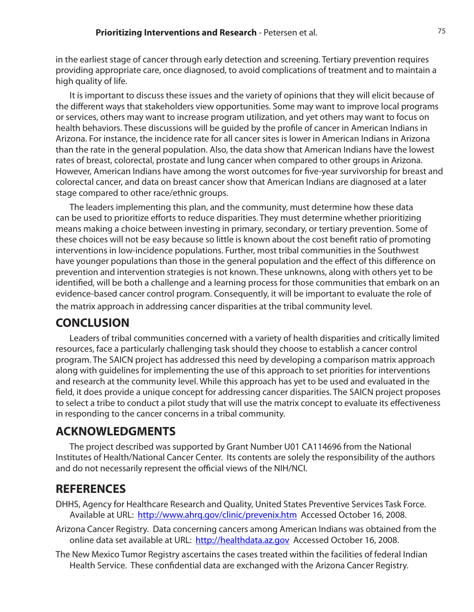in the earliest stage of cancer through early detection and screening. Tertiary prevention requires providing appropriate care, once diagnosed, to avoid complications of treatment and to maintain a high quality of life.

It is important to discuss these issues and the variety of opinions that they will elicit because of the different ways that stakeholders view opportunities. Some may want to improve local programs or services, others may want to increase program utilization, and yet others may want to focus on health behaviors. These discussions will be guided by the profile of cancer in American Indians in Arizona. For instance, the incidence rate for all cancer sites is lower in American Indians in Arizona than the rate in the general population. Also, the data show that American Indians have the lowest rates of breast, colorectal, prostate and lung cancer when compared to other groups in Arizona. However, American Indians have among the worst outcomes for five-year survivorship for breast and colorectal cancer, and data on breast cancer show that American Indians are diagnosed at a later stage compared to other race/ethnic groups.

The leaders implementing this plan, and the community, must determine how these data can be used to prioritize efforts to reduce disparities. They must determine whether prioritizing means making a choice between investing in primary, secondary, or tertiary prevention. Some of these choices will not be easy because so little is known about the cost benefit ratio of promoting interventions in low-incidence populations. Further, most tribal communities in the Southwest have younger populations than those in the general population and the effect of this difference on prevention and intervention strategies is not known. These unknowns, along with others yet to be identified, will be both a challenge and a learning process for those communities that embark on an evidence-based cancer control program. Consequently, it will be important to evaluate the role of the matrix approach in addressing cancer disparities at the tribal community level.

# **CONCLUSION**

Leaders of tribal communities concerned with a variety of health disparities and critically limited resources, face a particularly challenging task should they choose to establish a cancer control program. The SAICN project has addressed this need by developing a comparison matrix approach along with guidelines for implementing the use of this approach to set priorities for interventions and research at the community level. While this approach has yet to be used and evaluated in the field, it does provide a unique concept for addressing cancer disparities. The SAICN project proposes to select a tribe to conduct a pilot study that will use the matrix concept to evaluate its effectiveness in responding to the cancer concerns in a tribal community.

# **ACKNOWLEDGMENTS**

The project described was supported by Grant Number U01 CA114696 from the National Institutes of Health/National Cancer Center. Its contents are solely the responsibility of the authors and do not necessarily represent the official views of the NIH/NCI.

# **REFERENCES**

- DHHS, Agency for Healthcare Research and Quality, United States Preventive Services Task Force. Available at URL: http://www.ahrq.gov/clinic/prevenix.htm Accessed October 16, 2008.
- Arizona Cancer Registry. Data concerning cancers among American Indians was obtained from the online data set available at URL: http://healthdata.az.gov Accessed October 16, 2008.
- The New Mexico Tumor Registry ascertains the cases treated within the facilities of federal Indian Health Service. These confidential data are exchanged with the Arizona Cancer Registry.